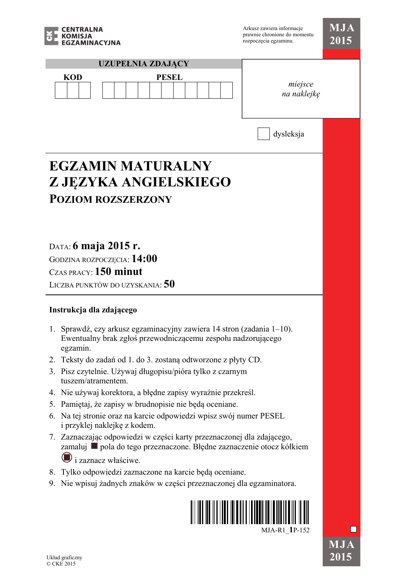

| EGZAMINACYJNA                                                                                                                                        | rozpoczęcia egzaminu.  | 2015      |
|------------------------------------------------------------------------------------------------------------------------------------------------------|------------------------|-----------|
| <b>UZUPEŁNIA ZDAJĄCY</b>                                                                                                                             |                        |           |
| <b>KOD</b><br><b>PESEL</b>                                                                                                                           | miejsce<br>na naklejkę |           |
|                                                                                                                                                      | dysleksja              |           |
| <b>EGZAMIN MATURALNY</b>                                                                                                                             |                        |           |
| Z JĘZYKA ANGIELSKIEGO                                                                                                                                |                        |           |
| <b>POZIOM ROZSZERZONY</b>                                                                                                                            |                        |           |
|                                                                                                                                                      |                        |           |
|                                                                                                                                                      |                        |           |
|                                                                                                                                                      |                        |           |
| DATA: 6 maja 2015 r.                                                                                                                                 |                        |           |
| GODZINA ROZPOCZĘCIA: 14:00                                                                                                                           |                        |           |
| CZAS PRACY: 150 minut                                                                                                                                |                        |           |
| LICZBA PUNKTÓW DO UZYSKANIA: 50                                                                                                                      |                        |           |
| Instrukcja dla zdającego                                                                                                                             |                        |           |
| Sprawdź, czy arkusz egzaminacyjny zawiera 14 stron (zadania 1–10).<br>1.<br>Ewentualny brak zgłoś przewodniczącemu zespołu nadzorującego<br>egzamin. |                        |           |
| Teksty do zadań od 1. do 3. zostaną odtworzone z płyty CD.<br>2.                                                                                     |                        |           |
| Pisz czytelnie. Używaj długopisu/pióra tylko z czarnym<br>3.<br>tuszem/atramentem.                                                                   |                        |           |
| 4. Nie używaj korektora, a błędne zapisy wyraźnie przekreśl.                                                                                         |                        |           |
| Pamiętaj, że zapisy w brudnopisie nie będą oceniane.<br>5.                                                                                           |                        |           |
| Na tej stronie oraz na karcie odpowiedzi wpisz swój numer PESEL<br>6.<br>i przyklej naklejkę z kodem.                                                |                        |           |
| 7. Zaznaczając odpowiedzi w części karty przeznaczonej dla zdającego,<br>zamaluj ■ pola do tego przeznaczone. Błędne zaznaczenie otocz kółkiem       |                        |           |
| $\bigcup$ i zaznacz właściwe.                                                                                                                        |                        |           |
| Tylko odpowiedzi zaznaczone na karcie będą oceniane.<br>8.                                                                                           |                        |           |
| Nie wpisuj żadnych znaków w części przeznaczonej dla egzaminatora.<br>9.                                                                             |                        |           |
|                                                                                                                                                      | MJA-R1 1P-152          |           |
|                                                                                                                                                      |                        | $\bf MJA$ |
| Układ graficzny                                                                                                                                      |                        | 2015      |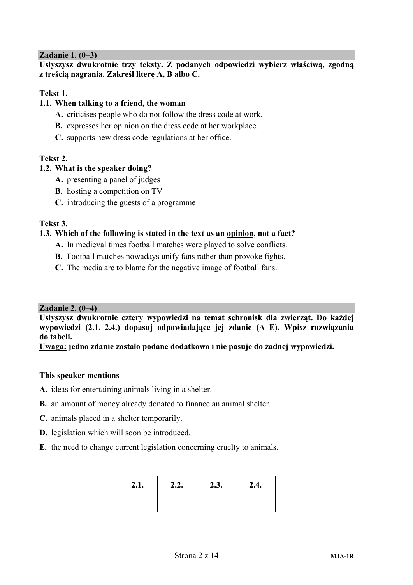## **Zadanie 1. (0–3)**

**Usłyszysz dwukrotnie trzy teksty. Z podanych odpowiedzi wybierz właściwą, zgodną z treścią nagrania. Zakreśl literę A, B albo C.** 

### **Tekst 1.**

## **1.1. When talking to a friend, the woman**

- **A.** criticises people who do not follow the dress code at work.
- **B.** expresses her opinion on the dress code at her workplace.
- **C.** supports new dress code regulations at her office.

## **Tekst 2.**

### **1.2. What is the speaker doing?**

- **A.** presenting a panel of judges
- **B.** hosting a competition on TV
- **C.** introducing the guests of a programme

### **Tekst 3.**

### **1.3. Which of the following is stated in the text as an opinion, not a fact?**

- **A.** In medieval times football matches were played to solve conflicts.
- **B.** Football matches nowadays unify fans rather than provoke fights.
- **C.** The media are to blame for the negative image of football fans.

### **Zadanie 2. (0–4)**

**Usłyszysz dwukrotnie cztery wypowiedzi na temat schronisk dla zwierząt. Do każdej wypowiedzi (2.1.–2.4.) dopasuj odpowiadające jej zdanie (A–E). Wpisz rozwiązania do tabeli.** 

**Uwaga: jedno zdanie zostało podane dodatkowo i nie pasuje do żadnej wypowiedzi.** 

### **This speaker mentions**

- **A.** ideas for entertaining animals living in a shelter.
- **B.** an amount of money already donated to finance an animal shelter.
- **C.** animals placed in a shelter temporarily.
- **D.** legislation which will soon be introduced.
- **E.** the need to change current legislation concerning cruelty to animals.

| 2.1. | 2.2. | 2.3. | 2.4. |
|------|------|------|------|
|      |      |      |      |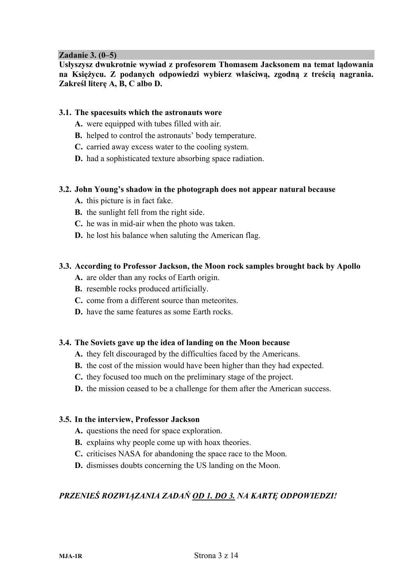### **Zadanie 3. (0–5)**

**Usłyszysz dwukrotnie wywiad z profesorem Thomasem Jacksonem na temat lądowania na Księżycu. Z podanych odpowiedzi wybierz właściwą, zgodną z treścią nagrania. Zakreśl literę A, B, C albo D.** 

#### **3.1. The spacesuits which the astronauts wore**

- **A.** were equipped with tubes filled with air.
- **B.** helped to control the astronauts' body temperature.
- **C.** carried away excess water to the cooling system.
- **D.** had a sophisticated texture absorbing space radiation.

#### **3.2. John Young's shadow in the photograph does not appear natural because**

- **A.** this picture is in fact fake.
- **B.** the sunlight fell from the right side.
- **C.** he was in mid-air when the photo was taken.
- **D.** he lost his balance when saluting the American flag.

### **3.3. According to Professor Jackson, the Moon rock samples brought back by Apollo**

- **A.** are older than any rocks of Earth origin.
- **B.** resemble rocks produced artificially.
- **C.** come from a different source than meteorites.
- **D.** have the same features as some Earth rocks.

### **3.4. The Soviets gave up the idea of landing on the Moon because**

- **A.** they felt discouraged by the difficulties faced by the Americans.
- **B.** the cost of the mission would have been higher than they had expected.
- **C.** they focused too much on the preliminary stage of the project.
- **D.** the mission ceased to be a challenge for them after the American success.

### **3.5. In the interview, Professor Jackson**

- **A.** questions the need for space exploration.
- **B.** explains why people come up with hoax theories.
- **C.** criticises NASA for abandoning the space race to the Moon.
- **D.** dismisses doubts concerning the US landing on the Moon.

## *PRZENIEŚ ROZWIĄZANIA ZADAŃ OD 1. DO 3. NA KARTĘ ODPOWIEDZI!*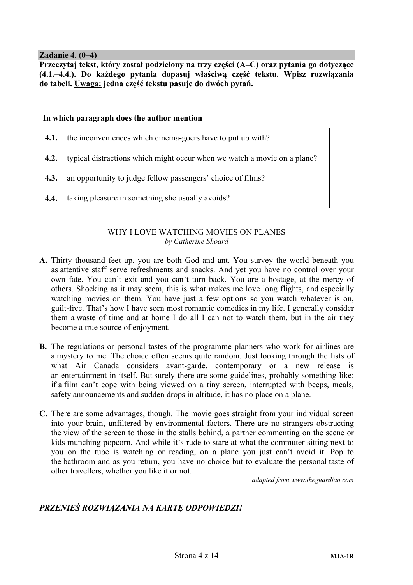### **Zadanie 4. (0–4)**

**Przeczytaj tekst, który został podzielony na trzy części (A–C) oraz pytania go dotyczące (4.1.–4.4.). Do każdego pytania dopasuj właściwą część tekstu. Wpisz rozwiązania do tabeli. Uwaga: jedna część tekstu pasuje do dwóch pytań.** 

| In which paragraph does the author mention |                                                                          |  |  |  |  |  |
|--------------------------------------------|--------------------------------------------------------------------------|--|--|--|--|--|
| 4.1.                                       | the inconveniences which cinema-goers have to put up with?               |  |  |  |  |  |
| 4.2.                                       | typical distractions which might occur when we watch a movie on a plane? |  |  |  |  |  |
| 4.3.                                       | an opportunity to judge fellow passengers' choice of films?              |  |  |  |  |  |
| 4.4.                                       | taking pleasure in something she usually avoids?                         |  |  |  |  |  |

### WHY I LOVE WATCHING MOVIES ON PLANES *by Catherine Shoard*

- **A.** Thirty thousand feet up, you are both God and ant. You survey the world beneath you as attentive staff serve refreshments and snacks. And yet you have no control over your own fate. You can't exit and you can't turn back. You are a hostage, at the mercy of others. Shocking as it may seem, this is what makes me love long flights, and especially watching movies on them. You have just a few options so you watch whatever is on, guilt-free. That's how I have seen most romantic comedies in my life. I generally consider them a waste of time and at home I do all I can not to watch them, but in the air they become a true source of enjoyment.
- **B.** The regulations or personal tastes of the programme planners who work for airlines are a mystery to me. The choice often seems quite random. Just looking through the lists of what Air Canada considers avant-garde, contemporary or a new release is an entertainment in itself. But surely there are some guidelines, probably something like: if a film can't cope with being viewed on a tiny screen, interrupted with beeps, meals, safety announcements and sudden drops in altitude, it has no place on a plane.
- **C.** There are some advantages, though. The movie goes straight from your individual screen into your brain, unfiltered by environmental factors. There are no strangers obstructing the view of the screen to those in the stalls behind, a partner commenting on the scene or kids munching popcorn. And while it's rude to stare at what the commuter sitting next to you on the tube is watching or reading, on a plane you just can't avoid it. Pop to the bathroom and as you return, you have no choice but to evaluate the personal taste of other travellers, whether you like it or not.

*adapted from www.theguardian.com*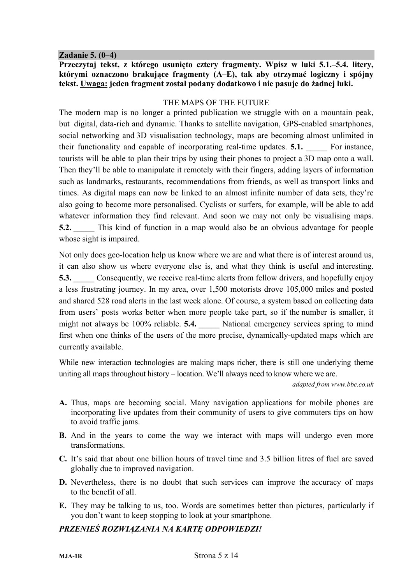### **Zadanie 5. (0–4)**

**Przeczytaj tekst, z którego usunięto cztery fragmenty. Wpisz w luki 5.1.–5.4. litery, którymi oznaczono brakujące fragmenty (A–E), tak aby otrzymać logiczny i spójny tekst. Uwaga: jeden fragment został podany dodatkowo i nie pasuje do żadnej luki.** 

### THE MAPS OF THE FUTURE

The modern map is no longer a printed publication we struggle with on a mountain peak, but digital, data-rich and dynamic. Thanks to satellite navigation, GPS-enabled smartphones, social networking and 3D visualisation technology, maps are becoming almost unlimited in their functionality and capable of incorporating real-time updates. **5.1.** For instance, tourists will be able to plan their trips by using their phones to project a 3D map onto a wall. Then they'll be able to manipulate it remotely with their fingers, adding layers of information such as landmarks, restaurants, recommendations from friends, as well as transport links and times. As digital maps can now be linked to an almost infinite number of data sets, they're also going to become more personalised. Cyclists or surfers, for example, will be able to add whatever information they find relevant. And soon we may not only be visualising maps. **5.2.** This kind of function in a map would also be an obvious advantage for people whose sight is impaired.

Not only does geo-location help us know where we are and what there is of interest around us, it can also show us where everyone else is, and what they think is useful and interesting. **5.3.** Consequently, we receive real-time alerts from fellow drivers, and hopefully enjoy a less frustrating journey. In my area, over 1,500 motorists drove 105,000 miles and posted and shared 528 road alerts in the last week alone. Of course, a system based on collecting data from users' posts works better when more people take part, so if the number is smaller, it might not always be 100% reliable. **5.4.** National emergency services spring to mind first when one thinks of the users of the more precise, dynamically-updated maps which are currently available.

While new interaction technologies are making maps richer, there is still one underlying theme uniting all maps throughout history – location. We'll always need to know where we are.

*adapted from www.bbc.co.uk* 

- **A.** Thus, maps are becoming social. Many navigation applications for mobile phones are incorporating live updates from their community of users to give commuters tips on how to avoid traffic jams.
- **B.** And in the years to come the way we interact with maps will undergo even more transformations.
- **C.** It's said that about one billion hours of travel time and 3.5 billion litres of fuel are saved globally due to improved navigation.
- **D.** Nevertheless, there is no doubt that such services can improve the accuracy of maps to the benefit of all.
- **E.** They may be talking to us, too. Words are sometimes better than pictures, particularly if you don't want to keep stopping to look at your smartphone.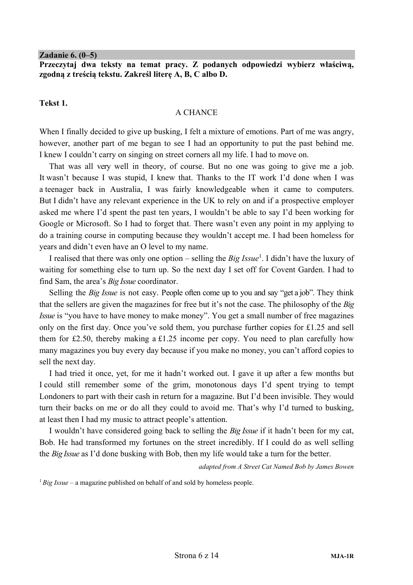#### **Zadanie 6. (0–5)**

**Przeczytaj dwa teksty na temat pracy. Z podanych odpowiedzi wybierz właściwą, zgodną z treścią tekstu. Zakreśl literę A, B, C albo D.** 

### **Tekst 1.**

### A CHANCE

When I finally decided to give up busking, I felt a mixture of emotions. Part of me was angry, however, another part of me began to see I had an opportunity to put the past behind me. I knew I couldn't carry on singing on street corners all my life. I had to move on.

That was all very well in theory, of course. But no one was going to give me a job. It wasn't because I was stupid, I knew that. Thanks to the IT work I'd done when I was a teenager back in Australia, I was fairly knowledgeable when it came to computers. But I didn't have any relevant experience in the UK to rely on and if a prospective employer asked me where I'd spent the past ten years, I wouldn't be able to say I'd been working for Google or Microsoft. So I had to forget that. There wasn't even any point in my applying to do a training course in computing because they wouldn't accept me. I had been homeless for years and didn't even have an O level to my name.

I realised that there was only one option – selling the *Big Issue*<sup>1</sup> . I didn't have the luxury of waiting for something else to turn up. So the next day I set off for Covent Garden. I had to find Sam, the area's *Big Issue* coordinator.

Selling the *Big Issue* is not easy. People often come up to you and say "get a job". They think that the sellers are given the magazines for free but it's not the case. The philosophy of the *Big Issue* is "you have to have money to make money". You get a small number of free magazines only on the first day. Once you've sold them, you purchase further copies for £1.25 and sell them for £2.50, thereby making a £1.25 income per copy. You need to plan carefully how many magazines you buy every day because if you make no money, you can't afford copies to sell the next day.

I had tried it once, yet, for me it hadn't worked out. I gave it up after a few months but I could still remember some of the grim, monotonous days I'd spent trying to tempt Londoners to part with their cash in return for a magazine. But I'd been invisible. They would turn their backs on me or do all they could to avoid me. That's why I'd turned to busking, at least then I had my music to attract people's attention.

I wouldn't have considered going back to selling the *Big Issue* if it hadn't been for my cat, Bob. He had transformed my fortunes on the street incredibly. If I could do as well selling the *Big Issue* as I'd done busking with Bob, then my life would take a turn for the better.

*adapted from A Street Cat Named Bob by James Bowen* 

<sup>1</sup> Big Issue – a magazine published on behalf of and sold by homeless people.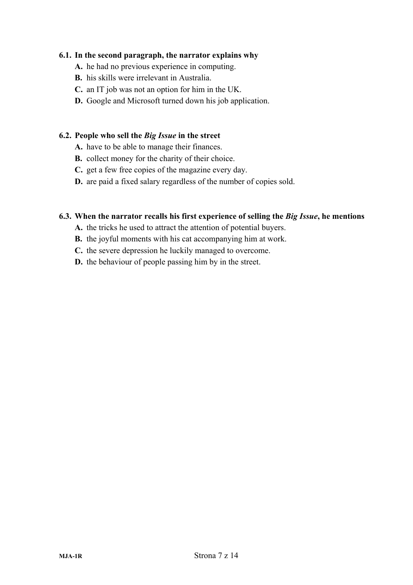### **6.1. In the second paragraph, the narrator explains why**

- **A.** he had no previous experience in computing.
- **B.** his skills were irrelevant in Australia.
- **C.** an IT job was not an option for him in the UK.
- **D.** Google and Microsoft turned down his job application.

### **6.2. People who sell the** *Big Issue* **in the street**

- **A.** have to be able to manage their finances.
- **B.** collect money for the charity of their choice.
- **C.** get a few free copies of the magazine every day.
- **D.** are paid a fixed salary regardless of the number of copies sold.

### **6.3. When the narrator recalls his first experience of selling the** *Big Issue***, he mentions**

- **A.** the tricks he used to attract the attention of potential buyers.
- **B.** the joyful moments with his cat accompanying him at work.
- **C.** the severe depression he luckily managed to overcome.
- **D.** the behaviour of people passing him by in the street.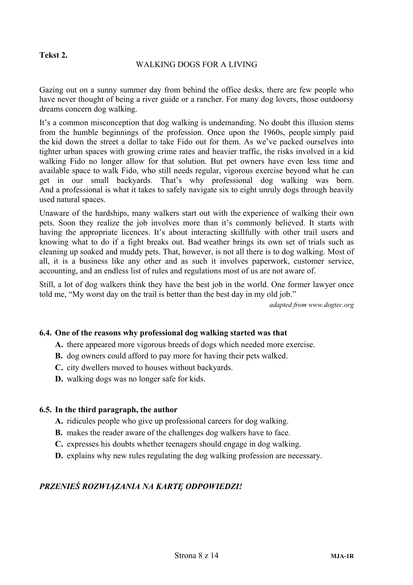## **Tekst 2.**

### WALKING DOGS FOR A LIVING

Gazing out on a sunny summer day from behind the office desks, there are few people who have never thought of being a river guide or a rancher. For many dog lovers, those outdoorsy dreams concern dog walking.

It's a common misconception that dog walking is undemanding. No doubt this illusion stems from the humble beginnings of the profession. Once upon the 1960s, people simply paid the kid down the street a dollar to take Fido out for them. As we've packed ourselves into tighter urban spaces with growing crime rates and heavier traffic, the risks involved in a kid walking Fido no longer allow for that solution. But pet owners have even less time and available space to walk Fido, who still needs regular, vigorous exercise beyond what he can get in our small backyards. That's why professional dog walking was born. And a professional is what it takes to safely navigate six to eight unruly dogs through heavily used natural spaces.

Unaware of the hardships, many walkers start out with the experience of walking their own pets. Soon they realize the job involves more than it's commonly believed. It starts with having the appropriate licences. It's about interacting skillfully with other trail users and knowing what to do if a fight breaks out. Bad weather brings its own set of trials such as cleaning up soaked and muddy pets. That, however, is not all there is to dog walking. Most of all, it is a business like any other and as such it involves paperwork, customer service, accounting, and an endless list of rules and regulations most of us are not aware of.

Still, a lot of dog walkers think they have the best job in the world. One former lawyer once told me, "My worst day on the trail is better than the best day in my old job."

*adapted from www.dogtec.org*

### **6.4. One of the reasons why professional dog walking started was that**

- **A.** there appeared more vigorous breeds of dogs which needed more exercise.
- **B.** dog owners could afford to pay more for having their pets walked.
- **C.** city dwellers moved to houses without backyards.
- **D.** walking dogs was no longer safe for kids.

### **6.5. In the third paragraph, the author**

- **A.** ridicules people who give up professional careers for dog walking.
- **B.** makes the reader aware of the challenges dog walkers have to face.
- **C.** expresses his doubts whether teenagers should engage in dog walking.
- **D.** explains why new rules regulating the dog walking profession are necessary.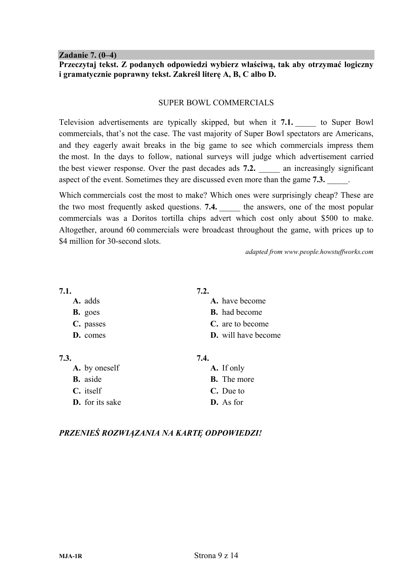**Zadanie 7. (0–4)** 

**Przeczytaj tekst. Z podanych odpowiedzi wybierz właściwą, tak aby otrzymać logiczny i gramatycznie poprawny tekst. Zakreśl literę A, B, C albo D.** 

### SUPER BOWL COMMERCIALS

Television advertisements are typically skipped, but when it **7.1.** \_\_\_\_\_ to Super Bowl commercials, that's not the case. The vast majority of Super Bowl spectators are Americans, and they eagerly await breaks in the big game to see which commercials impress them the most. In the days to follow, national surveys will judge which advertisement carried the best viewer response. Over the past decades ads **7.2.** an increasingly significant aspect of the event. Sometimes they are discussed even more than the game **7.3.** 

Which commercials cost the most to make? Which ones were surprisingly cheap? These are the two most frequently asked questions. **7.4. Let us answers**, one of the most popular commercials was a Doritos tortilla chips advert which cost only about \$500 to make. Altogether, around 60 commercials were broadcast throughout the game, with prices up to \$4 million for 30-second slots.

*adapted from www.people.howstuffworks.com*

| 7.1.           | 7.2.                       |
|----------------|----------------------------|
| A. adds        | A. have become             |
| <b>B.</b> goes | <b>B.</b> had become       |
| C. passes      | C. are to become           |
| D. comes       | <b>D.</b> will have become |
|                |                            |

| 7.3.                   | 7.4.               |
|------------------------|--------------------|
| A. by oneself          | A. If only         |
| <b>B.</b> aside        | <b>B.</b> The more |
| $C.$ itself            | C. Due to          |
| <b>D.</b> for its sake | D. As for          |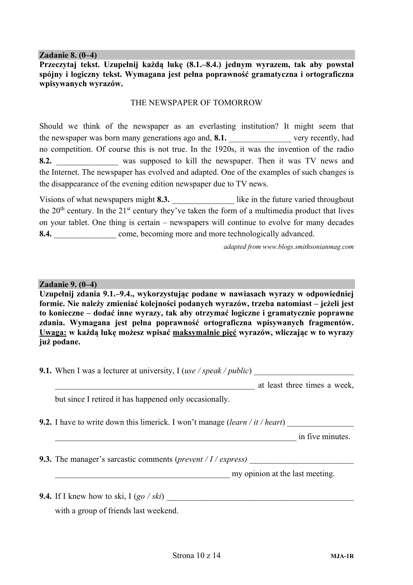#### **Zadanie 8. (0–4)**

**Przeczytaj tekst. Uzupełnij każdą lukę (8.1.–8.4.) jednym wyrazem, tak aby powstał spójny i logiczny tekst. Wymagana jest pełna poprawność gramatyczna i ortograficzna wpisywanych wyrazów.** 

### THE NEWSPAPER OF TOMORROW

Should we think of the newspaper as an everlasting institution? It might seem that the newspaper was born many generations ago and, 8.1. very recently, had no competition. Of course this is not true. In the 1920s, it was the invention of the radio **8.2. 8.2. was supposed to kill the newspaper. Then it was TV news and** the Internet. The newspaper has evolved and adapted. One of the examples of such changes is the disappearance of the evening edition newspaper due to TV news.

Visions of what newspapers might 8.3. **like in the future varied throughout** the  $20<sup>th</sup>$  century. In the  $21<sup>st</sup>$  century they've taken the form of a multimedia product that lives on your tablet. One thing is certain – newspapers will continue to evolve for many decades 8.4. **8.4. example 10 come, becoming more and more technologically advanced.** 

*adapted from www.blogs.smithsonianmag.com*

#### **Zadanie 9. (0–4)**

**Uzupełnij zdania 9.1.–9.4., wykorzystując podane w nawiasach wyrazy w odpowiedniej formie. Nie należy zmieniać kolejności podanych wyrazów, trzeba natomiast – jeżeli jest to konieczne – dodać inne wyrazy, tak aby otrzymać logiczne i gramatycznie poprawne zdania. Wymagana jest pełna poprawność ortograficzna wpisywanych fragmentów. Uwaga: w każdą lukę możesz wpisać maksymalnie pięć wyrazów, wliczając w to wyrazy już podane.** 

**9.1.** When I was a lecturer at university, I (*use / speak / public*)

\_\_\_\_\_\_\_\_\_\_\_\_\_\_\_\_\_\_\_\_\_\_\_\_\_\_\_\_\_\_\_\_\_\_\_\_\_\_\_\_\_\_\_\_\_\_\_\_ at least three times a week,

but since I retired it has happened only occasionally.

**9.2.** I have to write down this limerick. I won't manage (*learn* / *it* / *heart*)

\_\_\_\_\_\_\_\_\_\_\_\_\_\_\_\_\_\_\_\_\_\_\_\_\_\_\_\_\_\_\_\_\_\_\_\_\_\_\_\_\_\_\_\_\_\_\_\_\_\_\_\_\_\_\_\_\_\_ in five minutes.

**9.3.** The manager's sarcastic comments (*prevent / I / express*)

my opinion at the last meeting.

**9.4.** If I knew how to ski, I (*go / ski*) \_\_\_\_\_\_\_\_\_\_\_\_\_\_\_\_\_\_\_\_\_\_\_\_\_\_\_\_\_\_\_\_\_\_\_\_\_\_\_\_\_\_\_\_\_

with a group of friends last weekend.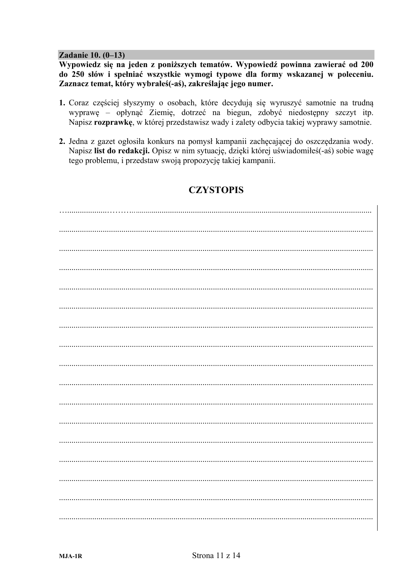#### Zadanie 10. (0-13)

Wypowiedz się na jeden z poniższych tematów. Wypowiedź powinna zawierać od 200 do 250 słów i spełniać wszystkie wymogi typowe dla formy wskazanej w poleceniu. Zaznacz temat, który wybrałeś(-aś), zakreślając jego numer.

- 1. Coraz częściej słyszymy o osobach, które decyduja się wyruszyć samotnie na trudna wyprawę – opłynąć Ziemię, dotrzeć na biegun, zdobyć niedostępny szczyt itp. Napisz rozprawkę, w której przedstawisz wady i zalety odbycia takiej wyprawy samotnie.
- 2. Jedna z gazet ogłosiła konkurs na pomysł kampanii zachęcającej do oszczędzania wody. Napisz list do redakcji. Opisz w nim sytuację, dzięki której uświadomiłeś(-aś) sobie wagę tego problemu, i przedstaw swoją propozycję takiej kampanii.

# **CZYSTOPIS**

 $\mathbf{I}$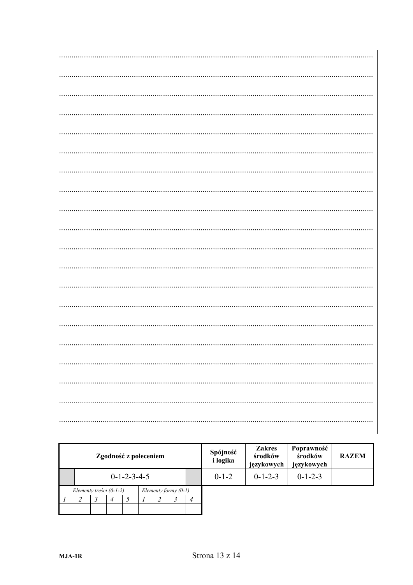| Zgodność z poleceniem |                                                     |  |                |  | Spójność<br><i>i</i> logika | <b>Zakres</b><br>środków<br>językowych | Poprawność<br>środków<br>językowych | <b>RAZEM</b>    |                 |  |  |
|-----------------------|-----------------------------------------------------|--|----------------|--|-----------------------------|----------------------------------------|-------------------------------------|-----------------|-----------------|--|--|
|                       | $0 - 1 - 2 - 3 - 4 - 5$                             |  |                |  |                             |                                        | $0-1-2$                             | $0 - 1 - 2 - 3$ | $0 - 1 - 2 - 3$ |  |  |
|                       | Elementy treści $(0-1-2)$<br>Elementy formy $(0-1)$ |  |                |  |                             |                                        |                                     |                 |                 |  |  |
|                       |                                                     |  | $\overline{4}$ |  |                             |                                        |                                     |                 |                 |  |  |
|                       |                                                     |  |                |  |                             |                                        |                                     |                 |                 |  |  |